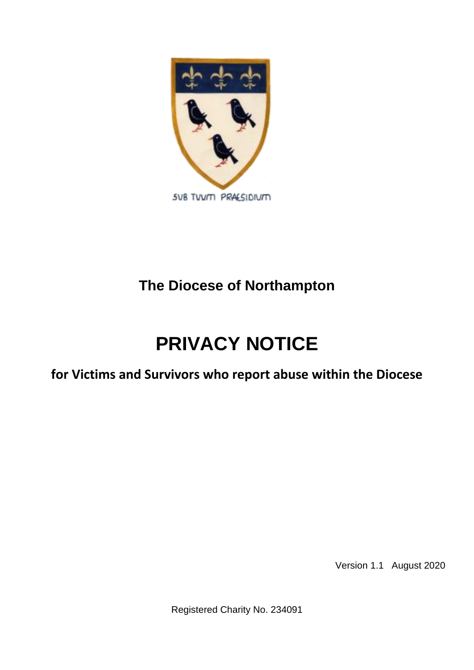

### **The Diocese of Northampton**

## **PRIVACY NOTICE**

**for Victims and Survivors who report abuse within the Diocese**

Version 1.1 August 2020

Registered Charity No. 234091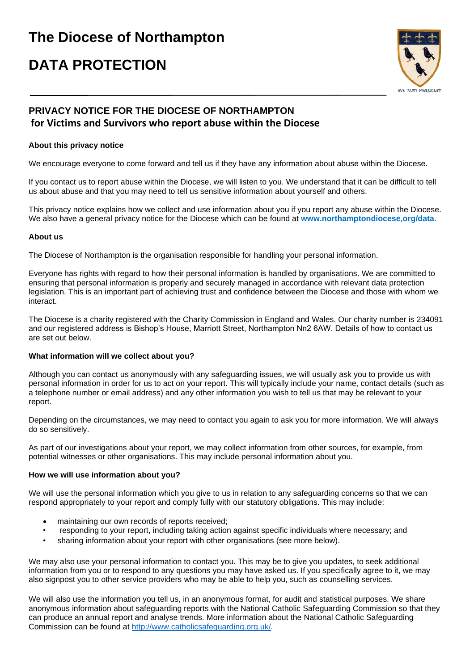# **The Diocese of Northampton**

## **DATA PROTECTION**



### **PRIVACY NOTICE FOR THE DIOCESE OF NORTHAMPTON for Victims and Survivors who report abuse within the Diocese**

#### **About this privacy notice**

We encourage everyone to come forward and tell us if they have any information about abuse within the Diocese.

If you contact us to report abuse within the Diocese, we will listen to you. We understand that it can be difficult to tell us about abuse and that you may need to tell us sensitive information about yourself and others.

This privacy notice explains how we collect and use information about you if you report any abuse within the Diocese. We also have a general privacy notice for the Diocese which can be found at **www.northamptondiocese,org/data.** 

#### **About us**

The Diocese of Northampton is the organisation responsible for handling your personal information.

Everyone has rights with regard to how their personal information is handled by organisations. We are committed to ensuring that personal information is properly and securely managed in accordance with relevant data protection legislation. This is an important part of achieving trust and confidence between the Diocese and those with whom we interact.

The Diocese is a charity registered with the Charity Commission in England and Wales. Our charity number is 234091 and our registered address is Bishop's House, Marriott Street, Northampton Nn2 6AW. Details of how to contact us are set out below.

#### **What information will we collect about you?**

Although you can contact us anonymously with any safeguarding issues, we will usually ask you to provide us with personal information in order for us to act on your report. This will typically include your name, contact details (such as a telephone number or email address) and any other information you wish to tell us that may be relevant to your report.

Depending on the circumstances, we may need to contact you again to ask you for more information. We will always do so sensitively.

As part of our investigations about your report, we may collect information from other sources, for example, from potential witnesses or other organisations. This may include personal information about you.

#### **How we will use information about you?**

We will use the personal information which you give to us in relation to any safeguarding concerns so that we can respond appropriately to your report and comply fully with our statutory obligations. This may include:

- maintaining our own records of reports received;
- responding to your report, including taking action against specific individuals where necessary; and
- sharing information about your report with other organisations (see more below).

We may also use your personal information to contact you. This may be to give you updates, to seek additional information from you or to respond to any questions you may have asked us. If you specifically agree to it, we may also signpost you to other service providers who may be able to help you, such as counselling services.

We will also use the information you tell us, in an anonymous format, for audit and statistical purposes. We share anonymous information about safeguarding reports with the National Catholic Safeguarding Commission so that they can produce an annual report and analyse trends. More information about the National Catholic Safeguarding Commission can be found at [http://www.catholicsafeguarding.org.uk/.](http://www.catholicsafeguarding.org.uk/)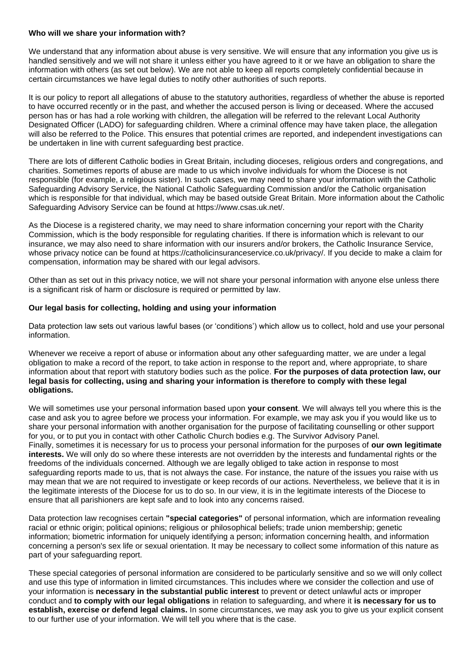#### **Who will we share your information with?**

We understand that any information about abuse is very sensitive. We will ensure that any information you give us is handled sensitively and we will not share it unless either you have agreed to it or we have an obligation to share the information with others (as set out below). We are not able to keep all reports completely confidential because in certain circumstances we have legal duties to notify other authorities of such reports.

It is our policy to report all allegations of abuse to the statutory authorities, regardless of whether the abuse is reported to have occurred recently or in the past, and whether the accused person is living or deceased. Where the accused person has or has had a role working with children, the allegation will be referred to the relevant Local Authority Designated Officer (LADO) for safeguarding children. Where a criminal offence may have taken place, the allegation will also be referred to the Police. This ensures that potential crimes are reported, and independent investigations can be undertaken in line with current safeguarding best practice.

There are lots of different Catholic bodies in Great Britain, including dioceses, religious orders and congregations, and charities. Sometimes reports of abuse are made to us which involve individuals for whom the Diocese is not responsible (for example, a religious sister). In such cases, we may need to share your information with the Catholic Safeguarding Advisory Service, the National Catholic Safeguarding Commission and/or the Catholic organisation which is responsible for that individual, which may be based outside Great Britain. More information about the Catholic Safeguarding Advisory Service can be found at https://www.csas.uk.net/.

As the Diocese is a registered charity, we may need to share information concerning your report with the Charity Commission, which is the body responsible for regulating charities. If there is information which is relevant to our insurance, we may also need to share information with our insurers and/or brokers, the Catholic Insurance Service, whose privacy notice can be found at https://catholicinsuranceservice.co.uk/privacy/. If you decide to make a claim for compensation, information may be shared with our legal advisors.

Other than as set out in this privacy notice, we will not share your personal information with anyone else unless there is a significant risk of harm or disclosure is required or permitted by law.

#### **Our legal basis for collecting, holding and using your information**

Data protection law sets out various lawful bases (or 'conditions') which allow us to collect, hold and use your personal information.

Whenever we receive a report of abuse or information about any other safeguarding matter, we are under a legal obligation to make a record of the report, to take action in response to the report and, where appropriate, to share information about that report with statutory bodies such as the police. **For the purposes of data protection law, our legal basis for collecting, using and sharing your information is therefore to comply with these legal obligations.** 

We will sometimes use your personal information based upon **your consent**. We will always tell you where this is the case and ask you to agree before we process your information. For example, we may ask you if you would like us to share your personal information with another organisation for the purpose of facilitating counselling or other support for you, or to put you in contact with other Catholic Church bodies e.g. The Survivor Advisory Panel. Finally, sometimes it is necessary for us to process your personal information for the purposes of **our own legitimate interests.** We will only do so where these interests are not overridden by the interests and fundamental rights or the freedoms of the individuals concerned. Although we are legally obliged to take action in response to most safeguarding reports made to us, that is not always the case. For instance, the nature of the issues you raise with us may mean that we are not required to investigate or keep records of our actions. Nevertheless, we believe that it is in the legitimate interests of the Diocese for us to do so. In our view, it is in the legitimate interests of the Diocese to ensure that all parishioners are kept safe and to look into any concerns raised.

Data protection law recognises certain **"special categories"** of personal information, which are information revealing racial or ethnic origin; political opinions; religious or philosophical beliefs; trade union membership; genetic information; biometric information for uniquely identifying a person; information concerning health, and information concerning a person's sex life or sexual orientation. It may be necessary to collect some information of this nature as part of your safeguarding report.

These special categories of personal information are considered to be particularly sensitive and so we will only collect and use this type of information in limited circumstances. This includes where we consider the collection and use of your information is **necessary in the substantial public interest** to prevent or detect unlawful acts or improper conduct and **to comply with our legal obligations** in relation to safeguarding, and where it **is necessary for us to establish, exercise or defend legal claims.** In some circumstances, we may ask you to give us your explicit consent to our further use of your information. We will tell you where that is the case.